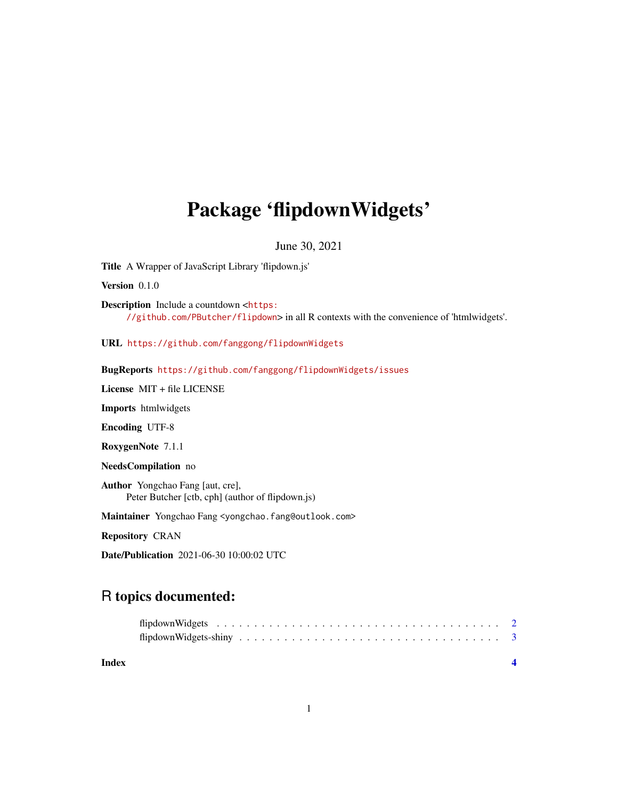## <span id="page-0-0"></span>Package 'flipdownWidgets'

June 30, 2021

Title A Wrapper of JavaScript Library 'flipdown.js'

Version 0.1.0

Description Include a countdown <[https:](https://github.com/PButcher/flipdown) [//github.com/PButcher/flipdown](https://github.com/PButcher/flipdown)> in all R contexts with the convenience of 'htmlwidgets'.

URL <https://github.com/fanggong/flipdownWidgets>

BugReports <https://github.com/fanggong/flipdownWidgets/issues>

License MIT + file LICENSE

Imports htmlwidgets

Encoding UTF-8

RoxygenNote 7.1.1

NeedsCompilation no

Author Yongchao Fang [aut, cre], Peter Butcher [ctb, cph] (author of flipdown.js)

Maintainer Yongchao Fang <yongchao.fang@outlook.com>

Repository CRAN

Date/Publication 2021-06-30 10:00:02 UTC

### R topics documented:

| Index |  |  |  |  |  |  |  |  |  |  |  |  |  |  |  |  |  |  |  |
|-------|--|--|--|--|--|--|--|--|--|--|--|--|--|--|--|--|--|--|--|
|       |  |  |  |  |  |  |  |  |  |  |  |  |  |  |  |  |  |  |  |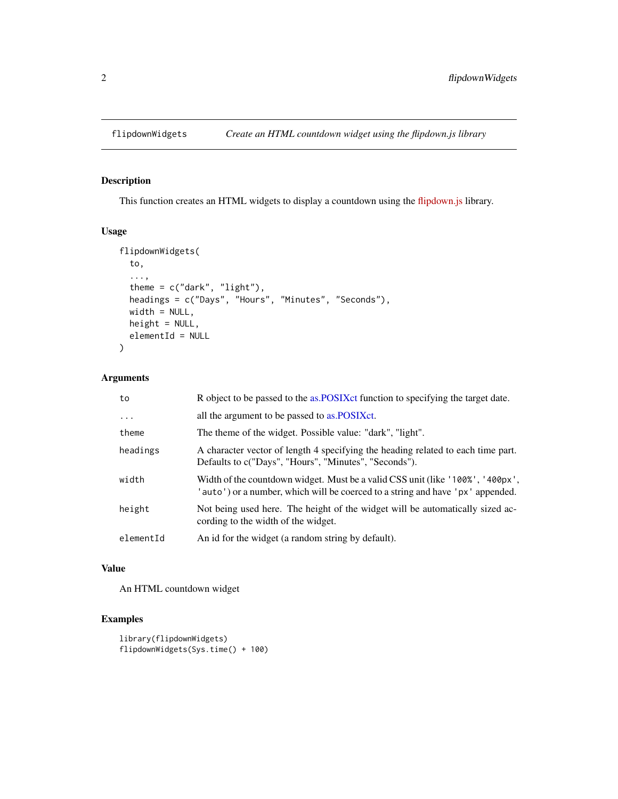#### <span id="page-1-0"></span>Description

This function creates an HTML widgets to display a countdown using the [flipdown.js](https://github.com/feddelegrand7/flipdownr) library.

#### Usage

```
flipdownWidgets(
  to,
  ...,
  theme = c("dark", "light"),
 headings = c("Days", "Hours", "Minutes", "Seconds"),
 width = NULL,height = NULL,elementId = NULL)
```
#### Arguments

| to        | R object to be passed to the as.POSIXct function to specifying the target date.                                                                                  |
|-----------|------------------------------------------------------------------------------------------------------------------------------------------------------------------|
| $\ddotsc$ | all the argument to be passed to as. POSIX ct.                                                                                                                   |
| theme     | The theme of the widget. Possible value: "dark", "light".                                                                                                        |
| headings  | A character vector of length 4 specifying the heading related to each time part.<br>Defaults to c("Days", "Hours", "Minutes", "Seconds").                        |
| width     | Width of the countdown widget. Must be a valid CSS unit (like '100%', '400px',<br>'auto') or a number, which will be coerced to a string and have 'px' appended. |
| height    | Not being used here. The height of the widget will be automatically sized ac-<br>cording to the width of the widget.                                             |
| elementId | An id for the widget (a random string by default).                                                                                                               |

#### Value

An HTML countdown widget

#### Examples

```
library(flipdownWidgets)
flipdownWidgets(Sys.time() + 100)
```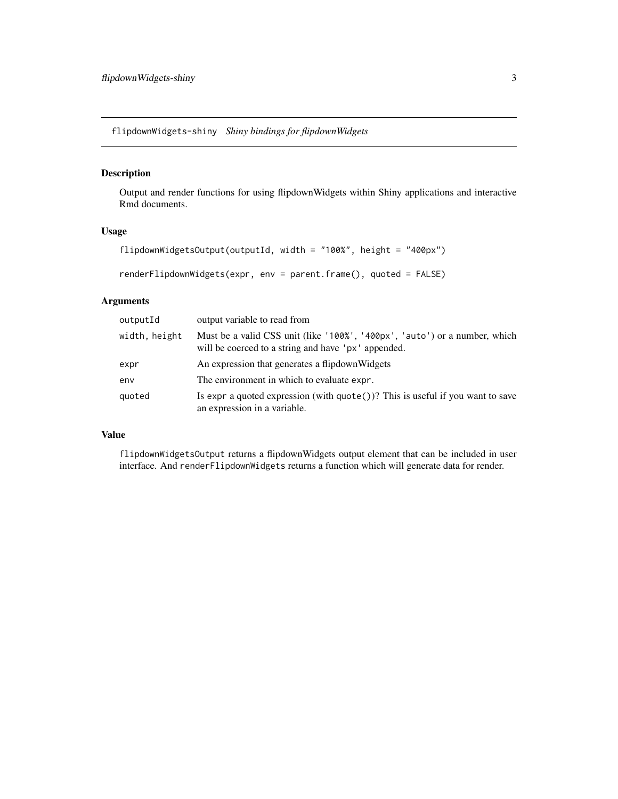<span id="page-2-0"></span>flipdownWidgets-shiny *Shiny bindings for flipdownWidgets*

#### Description

Output and render functions for using flipdownWidgets within Shiny applications and interactive Rmd documents.

#### Usage

```
flipdownWidgetsOutput(outputId, width = "100%", height = "400px")
```
renderFlipdownWidgets(expr, env = parent.frame(), quoted = FALSE)

#### Arguments

| outputId      | output variable to read from                                                                                                      |
|---------------|-----------------------------------------------------------------------------------------------------------------------------------|
| width, height | Must be a valid CSS unit (like '100%', '400px', 'auto') or a number, which<br>will be coerced to a string and have 'px' appended. |
| expr          | An expression that generates a flipdown Widgets                                                                                   |
| env           | The environment in which to evaluate expr.                                                                                        |
| quoted        | Is expr a quoted expression (with $\text{quote}()$ )? This is useful if you want to save<br>an expression in a variable.          |

#### Value

flipdownWidgetsOutput returns a flipdownWidgets output element that can be included in user interface. And renderFlipdownWidgets returns a function which will generate data for render.